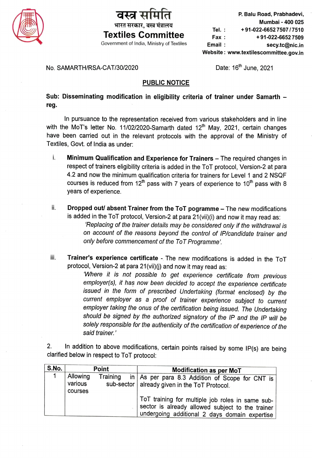

## भारत सरकार, वस्त्र मंत्रालय

P. Balu Road, Prabhadevi, Mumbai-400 025 Tel.: +91-022-6652 7507 / 7510 Textiles Committee  $F_{\text{ax}}$  +91-022-66527509 Government of India, Ministry of Textiles **Email**: **Email Secy.tc@nic.in** Website: www.textilescommittee.gov.in

## No. SAMARTH/RSA-CAT/30/2020 Date: 16<sup>th</sup> June, 2021

## PUBLIC NOTICE

Sub: Disseminating modification in eligibility criteria of trainer under Samarth reg.

In pursuance to the representation received from various stakeholders and in line with the MoT's letter No. 11/02/2020-Samarth dated  $12<sup>th</sup>$  May, 2021, certain changes have been carried out in the relevant protocols with the approval of the Ministry of Textiles, Govt. of India as under:

- $i.$  Minimum Qualification and Experience for Trainers  $-$  The required changes in respect of trainers eligibility criteria is added in the ToT protocol, Version-2 at para 4.2 and now the minimum qualification criteria for trainers for Level 1 and 2 NSQF courses is reduced from  $12<sup>th</sup>$  pass with 7 years of experience to  $10<sup>th</sup>$  pass with 8 years of experience.
- ii. Dropped out/ absent Trainer from the ToT pogramme The new modifications is added in the ToT protocol, Version-2 at para 21(vii)(i) and now it may read as: Replacing of the trainer details may be considered only if the withdrawal is on account of the reasons beyond the control of IP/candidate trainer and only before commencement of the ToT Programme'
- iii. Trainer's experience certificate The new modifications is added in the ToT protocol, Version-2 at para 21(vii)(j) and now it may read as:

Where it is not possible to get experience certificate from previous employer(s), it has now been decided to accept the experience certificate issued in the form of prescribed Undertaking (format enclosed) by the current employer as a proof of trainer experience subject to current employer taking the onus of the certification being issued. The Undertaking should be signed by the authorized signatory of the IP and the IP will be solely responsible for the authenticity of the certification of experience of the said trainer.'

2. In addition to above modifications, certain points raised by some IP(s) are being clarified below in respect to ToT protocol: 2.

| S.No. |                                | Point    | <b>Modification as per MoT</b>                                                                                                                        |  |  |  |  |  |
|-------|--------------------------------|----------|-------------------------------------------------------------------------------------------------------------------------------------------------------|--|--|--|--|--|
|       | Allowing<br>various<br>courses | Training | in   As per para 8.3 Addition of Scope for CNT is  <br>sub-sector   already given in the ToT Protocol.                                                |  |  |  |  |  |
|       |                                |          | ToT training for multiple job roles in same sub-<br>sector is already allowed subject to the trainer<br>undergoing additional 2 days domain expertise |  |  |  |  |  |